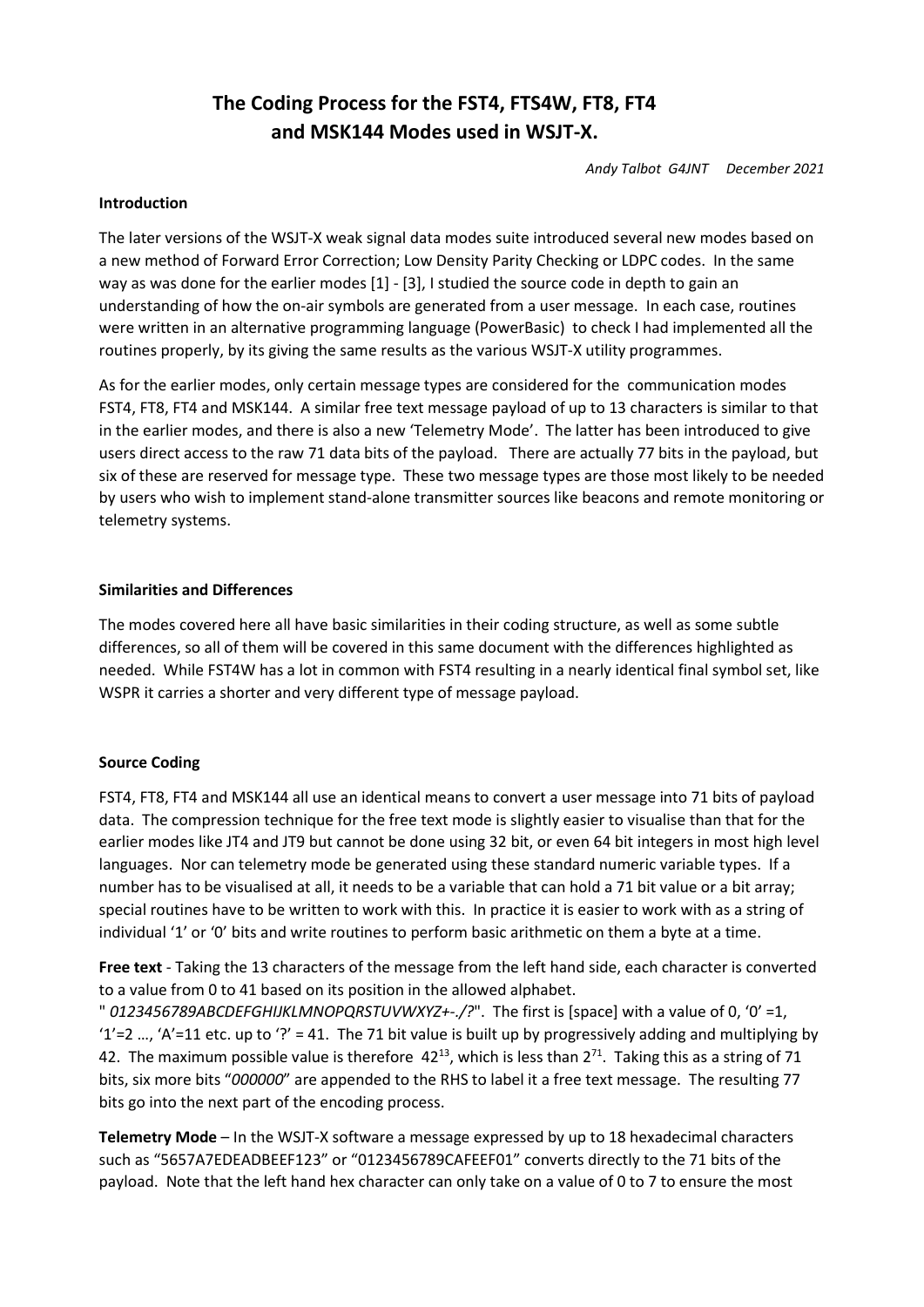# The Coding Process for the FST4, FTS4W, FT8, FT4 and MSK144 Modes used in WSJT-X.

Andy Talbot G4JNT December 2021

## Introduction

The later versions of the WSJT-X weak signal data modes suite introduced several new modes based on a new method of Forward Error Correction; Low Density Parity Checking or LDPC codes. In the same way as was done for the earlier modes [1] - [3], I studied the source code in depth to gain an understanding of how the on-air symbols are generated from a user message. In each case, routines were written in an alternative programming language (PowerBasic) to check I had implemented all the routines properly, by its giving the same results as the various WSJT-X utility programmes.

As for the earlier modes, only certain message types are considered for the communication modes FST4, FT8, FT4 and MSK144. A similar free text message payload of up to 13 characters is similar to that in the earlier modes, and there is also a new 'Telemetry Mode'. The latter has been introduced to give users direct access to the raw 71 data bits of the payload. There are actually 77 bits in the payload, but six of these are reserved for message type. These two message types are those most likely to be needed by users who wish to implement stand-alone transmitter sources like beacons and remote monitoring or telemetry systems.

#### Similarities and Differences

The modes covered here all have basic similarities in their coding structure, as well as some subtle differences, so all of them will be covered in this same document with the differences highlighted as needed. While FST4W has a lot in common with FST4 resulting in a nearly identical final symbol set, like WSPR it carries a shorter and very different type of message payload.

## Source Coding

FST4, FT8, FT4 and MSK144 all use an identical means to convert a user message into 71 bits of payload data. The compression technique for the free text mode is slightly easier to visualise than that for the earlier modes like JT4 and JT9 but cannot be done using 32 bit, or even 64 bit integers in most high level languages. Nor can telemetry mode be generated using these standard numeric variable types. If a number has to be visualised at all, it needs to be a variable that can hold a 71 bit value or a bit array; special routines have to be written to work with this. In practice it is easier to work with as a string of individual '1' or '0' bits and write routines to perform basic arithmetic on them a byte at a time.

Free text - Taking the 13 characters of the message from the left hand side, each character is converted to a value from 0 to 41 based on its position in the allowed alphabet.

" 0123456789ABCDEFGHIJKLMNOPQRSTUVWXYZ+-./?". The first is [space] with a value of 0, '0' =1, '1'=2 ..., 'A'=11 etc. up to '?' = 41. The 71 bit value is built up by progressively adding and multiplying by 42. The maximum possible value is therefore  $42^{13}$ , which is less than  $2^{71}$ . Taking this as a string of 71 bits, six more bits "000000" are appended to the RHS to label it a free text message. The resulting 77 bits go into the next part of the encoding process.

Telemetry Mode – In the WSJT-X software a message expressed by up to 18 hexadecimal characters such as "5657A7EDEADBEEF123" or "0123456789CAFEEF01" converts directly to the 71 bits of the payload. Note that the left hand hex character can only take on a value of 0 to 7 to ensure the most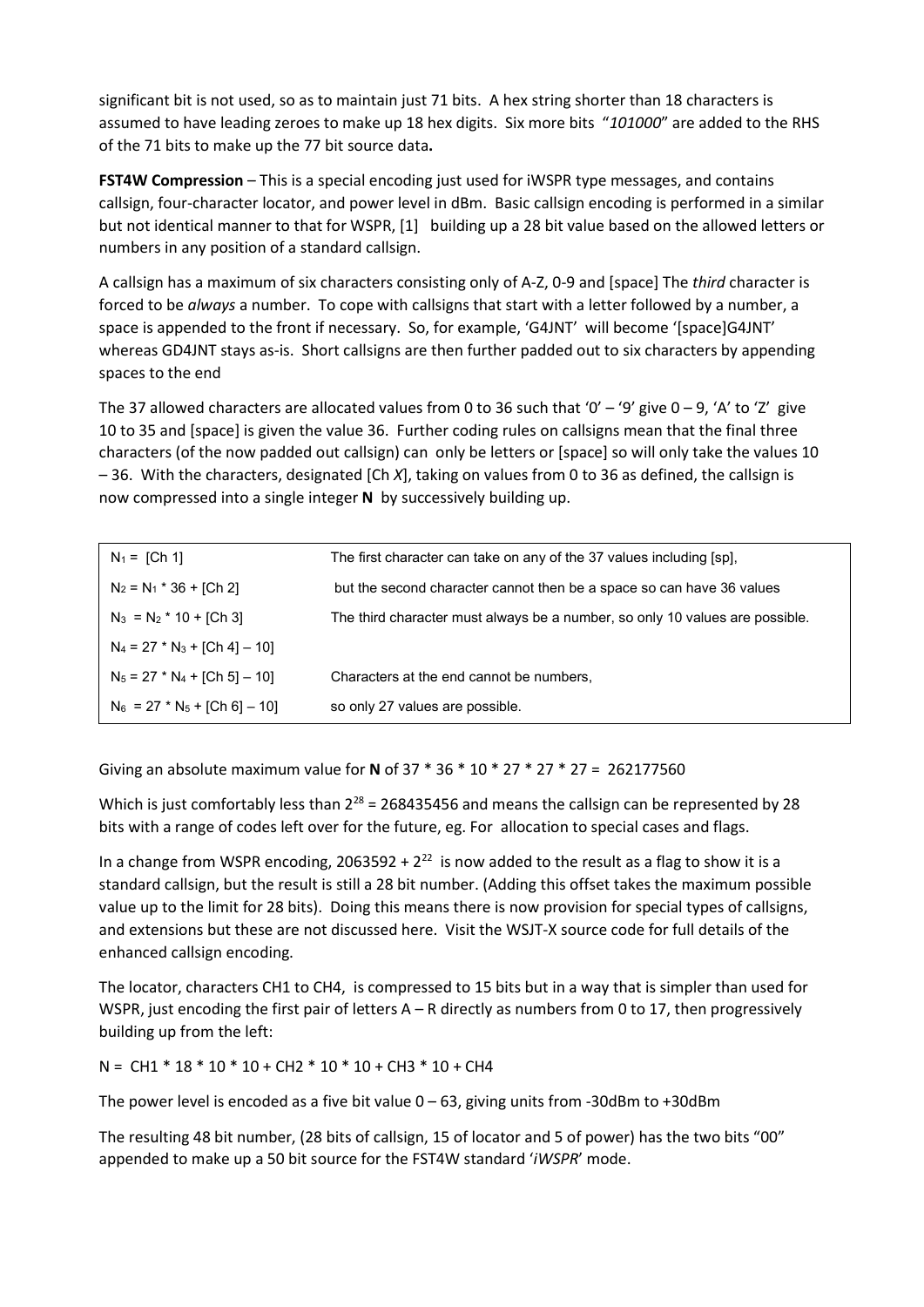significant bit is not used, so as to maintain just 71 bits. A hex string shorter than 18 characters is assumed to have leading zeroes to make up 18 hex digits. Six more bits "101000" are added to the RHS of the 71 bits to make up the 77 bit source data.

FST4W Compression - This is a special encoding just used for iWSPR type messages, and contains callsign, four-character locator, and power level in dBm. Basic callsign encoding is performed in a similar but not identical manner to that for WSPR, [1] building up a 28 bit value based on the allowed letters or numbers in any position of a standard callsign.

A callsign has a maximum of six characters consisting only of A-Z, 0-9 and [space] The third character is forced to be *always* a number. To cope with callsigns that start with a letter followed by a number, a space is appended to the front if necessary. So, for example, 'G4JNT' will become '[space]G4JNT' whereas GD4JNT stays as-is. Short callsigns are then further padded out to six characters by appending spaces to the end

The 37 allowed characters are allocated values from 0 to 36 such that '0' – '9' give  $0-9$ , 'A' to 'Z' give 10 to 35 and [space] is given the value 36. Further coding rules on callsigns mean that the final three characters (of the now padded out callsign) can only be letters or [space] so will only take the values 10 – 36. With the characters, designated [Ch X], taking on values from 0 to 36 as defined, the callsign is now compressed into a single integer N by successively building up.

| $N_1 = [Ch 1]$                  | The first character can take on any of the 37 values including [sp],         |
|---------------------------------|------------------------------------------------------------------------------|
| $N_2 = N_1 * 36 + [Ch 2]$       | but the second character cannot then be a space so can have 36 values        |
| $N_3 = N_2 * 10 + [Ch 3]$       | The third character must always be a number, so only 10 values are possible. |
| $N_4 = 27 * N_3 + [Ch 4] - 10]$ |                                                                              |
| $N_5 = 27 * N_4 + [Ch 5] - 10]$ | Characters at the end cannot be numbers,                                     |
| $N_6 = 27 * N_5 + [Ch 6] - 10]$ | so only 27 values are possible.                                              |

Giving an absolute maximum value for N of 37 \* 36 \* 10 \* 27 \* 27 \* 27 = 262177560

Which is just comfortably less than  $2^{28}$  = 268435456 and means the callsign can be represented by 28 bits with a range of codes left over for the future, eg. For allocation to special cases and flags.

In a change from WSPR encoding, 2063592 +  $2^{22}$  is now added to the result as a flag to show it is a standard callsign, but the result is still a 28 bit number. (Adding this offset takes the maximum possible value up to the limit for 28 bits). Doing this means there is now provision for special types of callsigns, and extensions but these are not discussed here. Visit the WSJT-X source code for full details of the enhanced callsign encoding.

The locator, characters CH1 to CH4, is compressed to 15 bits but in a way that is simpler than used for WSPR, just encoding the first pair of letters A – R directly as numbers from 0 to 17, then progressively building up from the left:

N = CH1 \* 18 \* 10 \* 10 + CH2 \* 10 \* 10 + CH3 \* 10 + CH4

The power level is encoded as a five bit value  $0 - 63$ , giving units from -30dBm to +30dBm

The resulting 48 bit number, (28 bits of callsign, 15 of locator and 5 of power) has the two bits "00" appended to make up a 50 bit source for the FST4W standard 'iWSPR' mode.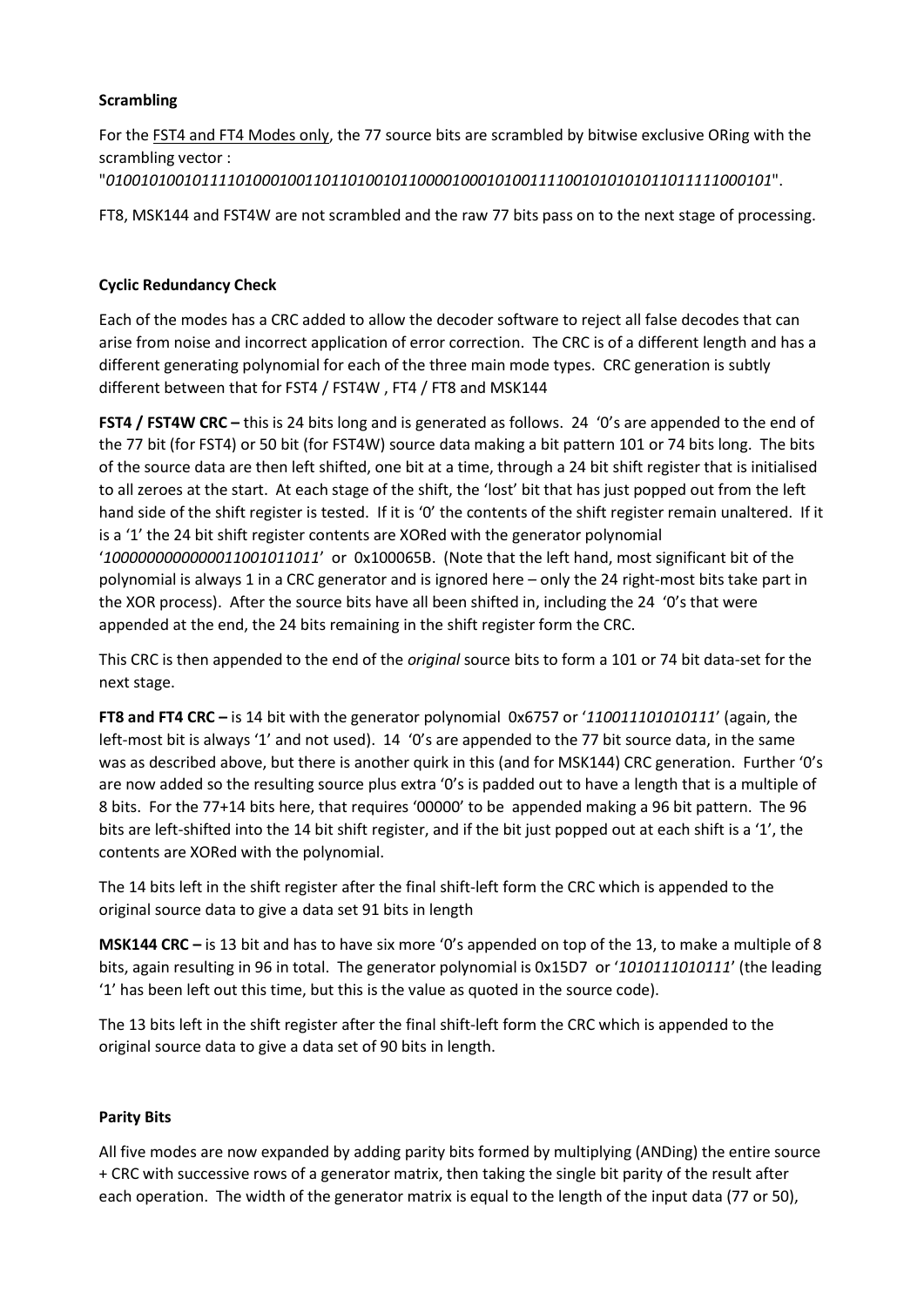# **Scrambling**

For the FST4 and FT4 Modes only, the 77 source bits are scrambled by bitwise exclusive ORing with the scrambling vector : "01001010010111101000100110110100101100001000101001111001010101011011111000101".

FT8, MSK144 and FST4W are not scrambled and the raw 77 bits pass on to the next stage of processing.

# Cyclic Redundancy Check

Each of the modes has a CRC added to allow the decoder software to reject all false decodes that can arise from noise and incorrect application of error correction. The CRC is of a different length and has a different generating polynomial for each of the three main mode types. CRC generation is subtly different between that for FST4 / FST4W , FT4 / FT8 and MSK144

FST4 / FST4W CRC – this is 24 bits long and is generated as follows. 24 '0's are appended to the end of the 77 bit (for FST4) or 50 bit (for FST4W) source data making a bit pattern 101 or 74 bits long. The bits of the source data are then left shifted, one bit at a time, through a 24 bit shift register that is initialised to all zeroes at the start. At each stage of the shift, the 'lost' bit that has just popped out from the left hand side of the shift register is tested. If it is '0' the contents of the shift register remain unaltered. If it is a '1' the 24 bit shift register contents are XORed with the generator polynomial '1000000000000011001011011' or 0x100065B. (Note that the left hand, most significant bit of the polynomial is always 1 in a CRC generator and is ignored here – only the 24 right-most bits take part in the XOR process). After the source bits have all been shifted in, including the 24 '0's that were appended at the end, the 24 bits remaining in the shift register form the CRC.

This CRC is then appended to the end of the *original* source bits to form a 101 or 74 bit data-set for the next stage.

FT8 and FT4 CRC – is 14 bit with the generator polynomial 0x6757 or '110011101010111' (again, the left-most bit is always '1' and not used). 14 '0's are appended to the 77 bit source data, in the same was as described above, but there is another quirk in this (and for MSK144) CRC generation. Further '0's are now added so the resulting source plus extra '0's is padded out to have a length that is a multiple of 8 bits. For the 77+14 bits here, that requires '00000' to be appended making a 96 bit pattern. The 96 bits are left-shifted into the 14 bit shift register, and if the bit just popped out at each shift is a '1', the contents are XORed with the polynomial.

The 14 bits left in the shift register after the final shift-left form the CRC which is appended to the original source data to give a data set 91 bits in length

MSK144 CRC – is 13 bit and has to have six more '0's appended on top of the 13, to make a multiple of 8 bits, again resulting in 96 in total. The generator polynomial is 0x15D7 or '1010111010111' (the leading '1' has been left out this time, but this is the value as quoted in the source code).

The 13 bits left in the shift register after the final shift-left form the CRC which is appended to the original source data to give a data set of 90 bits in length.

## Parity Bits

All five modes are now expanded by adding parity bits formed by multiplying (ANDing) the entire source + CRC with successive rows of a generator matrix, then taking the single bit parity of the result after each operation. The width of the generator matrix is equal to the length of the input data (77 or 50),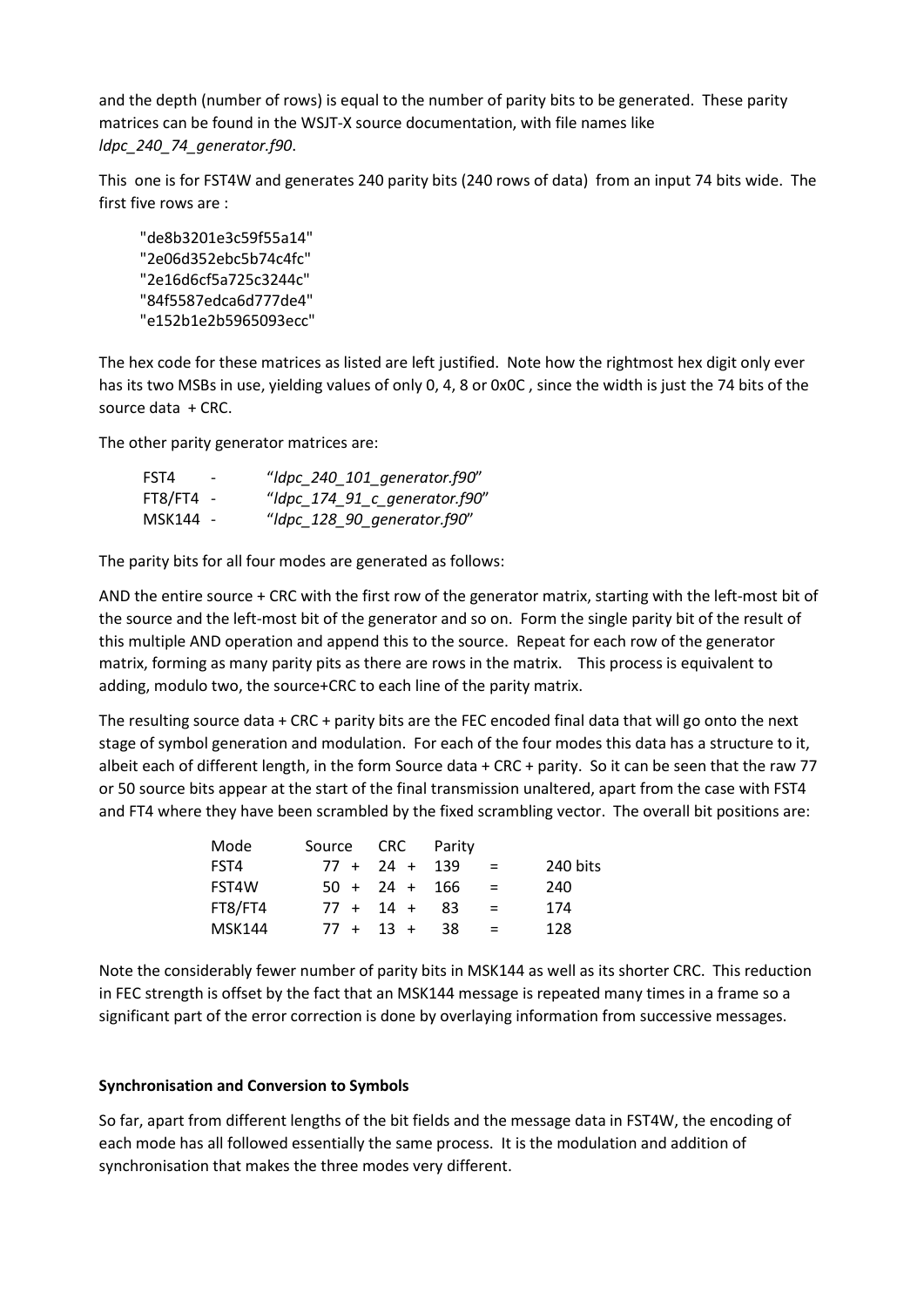and the depth (number of rows) is equal to the number of parity bits to be generated. These parity matrices can be found in the WSJT-X source documentation, with file names like ldpc\_240\_74\_generator.f90.

This one is for FST4W and generates 240 parity bits (240 rows of data) from an input 74 bits wide. The first five rows are :

 "de8b3201e3c59f55a14" "2e06d352ebc5b74c4fc" "2e16d6cf5a725c3244c" "84f5587edca6d777de4" "e152b1e2b5965093ecc"

The hex code for these matrices as listed are left justified. Note how the rightmost hex digit only ever has its two MSBs in use, yielding values of only 0, 4, 8 or 0x0C , since the width is just the 74 bits of the source data + CRC.

The other parity generator matrices are:

| FST4        | $\overline{\phantom{0}}$ | "Idpc_240_101_generator.f90"  |
|-------------|--------------------------|-------------------------------|
| $FT8/FT4 -$ |                          | "Idpc_174_91_c_generator.f90" |
| MSK144 -    |                          | "Idpc_128_90_generator.f90"   |

The parity bits for all four modes are generated as follows:

AND the entire source + CRC with the first row of the generator matrix, starting with the left-most bit of the source and the left-most bit of the generator and so on. Form the single parity bit of the result of this multiple AND operation and append this to the source. Repeat for each row of the generator matrix, forming as many parity pits as there are rows in the matrix. This process is equivalent to adding, modulo two, the source+CRC to each line of the parity matrix.

The resulting source data + CRC + parity bits are the FEC encoded final data that will go onto the next stage of symbol generation and modulation. For each of the four modes this data has a structure to it, albeit each of different length, in the form Source data  $+$  CRC + parity. So it can be seen that the raw 77 or 50 source bits appear at the start of the final transmission unaltered, apart from the case with FST4 and FT4 where they have been scrambled by the fixed scrambling vector. The overall bit positions are:

| Mode          | Source CRC Parity |                 |    |     |          |
|---------------|-------------------|-----------------|----|-----|----------|
| FST4          |                   | $77 + 24 + 139$ |    | $=$ | 240 bits |
| FST4W         |                   | $50 + 24 + 166$ |    | $=$ | 240      |
| FT8/FT4       |                   | $77 + 14 + 83$  |    | $=$ | 174      |
| <b>MSK144</b> |                   | $77 + 13 +$     | 38 | $=$ | 128      |

Note the considerably fewer number of parity bits in MSK144 as well as its shorter CRC. This reduction in FEC strength is offset by the fact that an MSK144 message is repeated many times in a frame so a significant part of the error correction is done by overlaying information from successive messages.

## Synchronisation and Conversion to Symbols

So far, apart from different lengths of the bit fields and the message data in FST4W, the encoding of each mode has all followed essentially the same process. It is the modulation and addition of synchronisation that makes the three modes very different.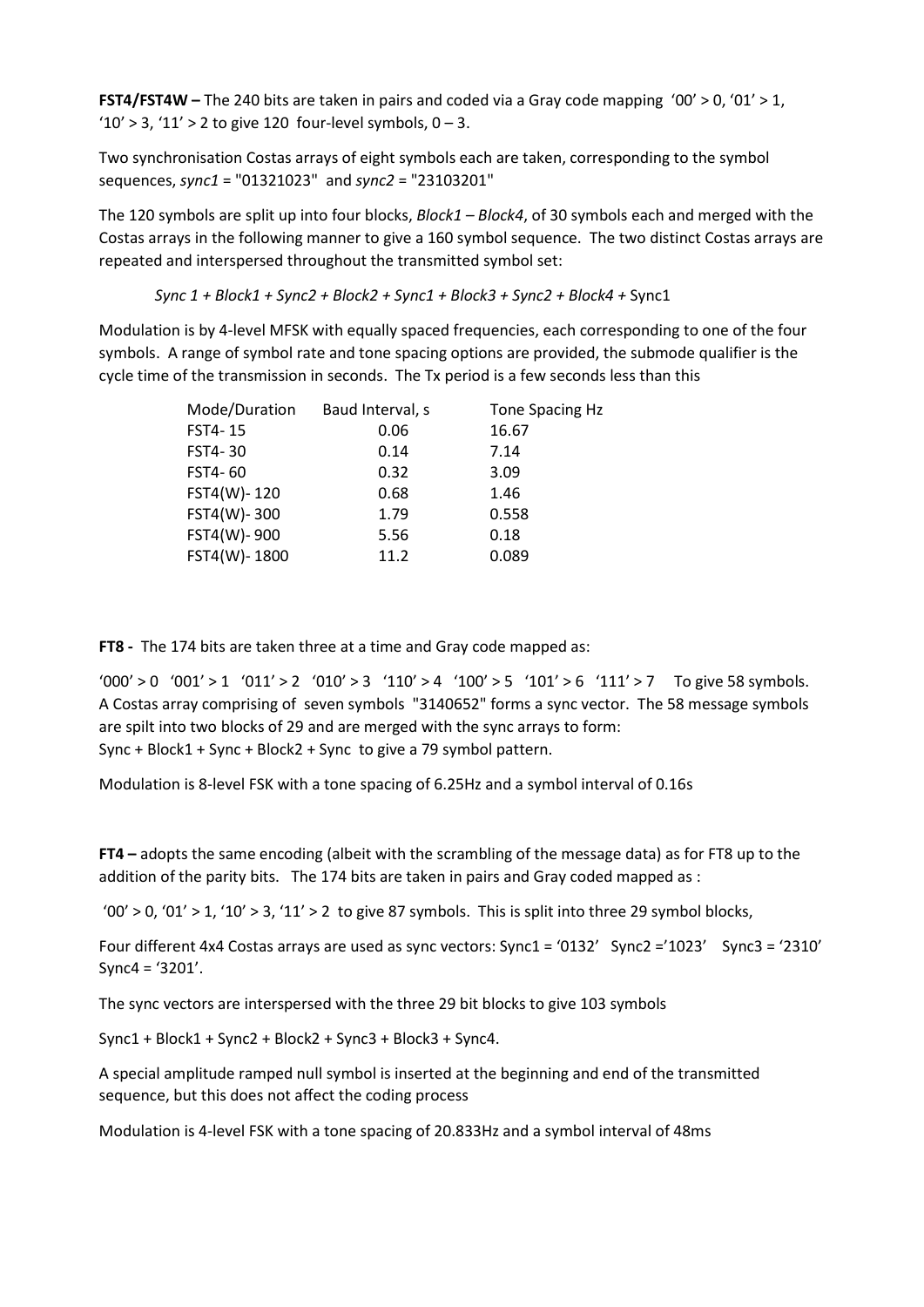**FST4/FST4W** – The 240 bits are taken in pairs and coded via a Gray code mapping '00' > 0, '01' > 1, ' $10' > 3$ , ' $11' > 2$  to give 120 four-level symbols,  $0 - 3$ .

Two synchronisation Costas arrays of eight symbols each are taken, corresponding to the symbol sequences, sync1 = "01321023" and sync2 = "23103201"

The 120 symbols are split up into four blocks,  $Block1 - Block4$ , of 30 symbols each and merged with the Costas arrays in the following manner to give a 160 symbol sequence. The two distinct Costas arrays are repeated and interspersed throughout the transmitted symbol set:

Sync 1 + Block1 + Sync2 + Block2 + Sync1 + Block3 + Sync2 + Block4 + Sync1

Modulation is by 4-level MFSK with equally spaced frequencies, each corresponding to one of the four symbols. A range of symbol rate and tone spacing options are provided, the submode qualifier is the cycle time of the transmission in seconds. The Tx period is a few seconds less than this

| Mode/Duration | Baud Interval, s | Tone Spacing Hz |
|---------------|------------------|-----------------|
| FST4-15       | 0.06             | 16.67           |
| FST4-30       | 0.14             | 7.14            |
| FST4-60       | 0.32             | 3.09            |
| FST4(W)-120   | 0.68             | 1.46            |
| FST4(W)-300   | 1.79             | 0.558           |
| FST4(W)-900   | 5.56             | 0.18            |
| FST4(W)-1800  | 11.2             | 0.089           |

FT8 - The 174 bits are taken three at a time and Gray code mapped as:

 $'000' > 0$   $'001' > 1$   $'011' > 2$   $'010' > 3$   $'110' > 4$   $'100' > 5$   $'101' > 6$   $'111' > 7$  To give 58 symbols. A Costas array comprising of seven symbols "3140652" forms a sync vector. The 58 message symbols are spilt into two blocks of 29 and are merged with the sync arrays to form: Sync + Block1 + Sync + Block2 + Sync to give a 79 symbol pattern.

Modulation is 8-level FSK with a tone spacing of 6.25Hz and a symbol interval of 0.16s

FT4 – adopts the same encoding (albeit with the scrambling of the message data) as for FT8 up to the addition of the parity bits. The 174 bits are taken in pairs and Gray coded mapped as :

'00' > 0, '01' > 1, '10' > 3, '11' > 2 to give 87 symbols. This is split into three 29 symbol blocks,

Four different 4x4 Costas arrays are used as sync vectors: Sync1 = '0132' Sync2 ='1023' Sync3 = '2310' Sync4 = '3201'.

The sync vectors are interspersed with the three 29 bit blocks to give 103 symbols

Sync1 + Block1 + Sync2 + Block2 + Sync3 + Block3 + Sync4.

A special amplitude ramped null symbol is inserted at the beginning and end of the transmitted sequence, but this does not affect the coding process

Modulation is 4-level FSK with a tone spacing of 20.833Hz and a symbol interval of 48ms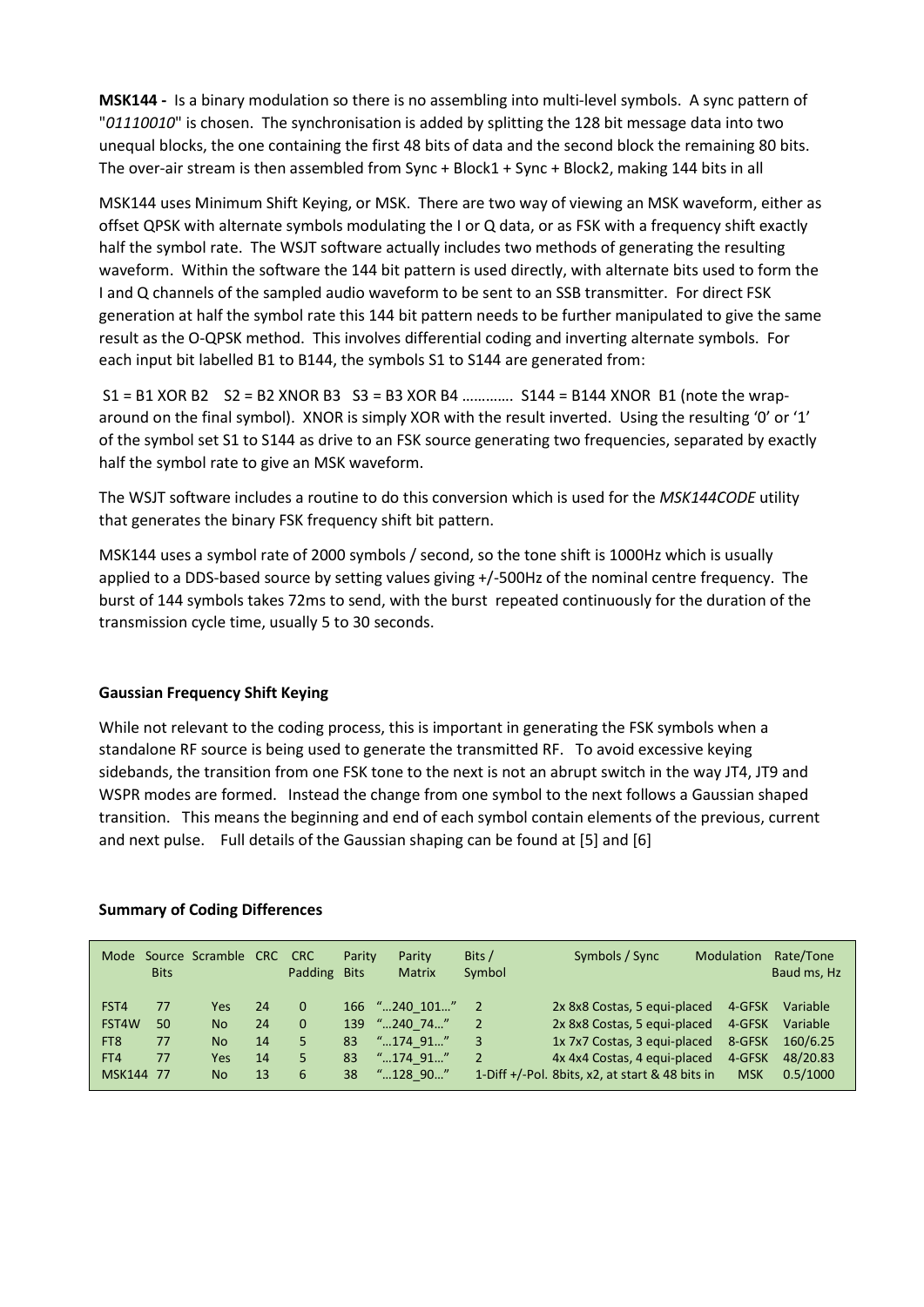MSK144 - Is a binary modulation so there is no assembling into multi-level symbols. A sync pattern of "01110010" is chosen. The synchronisation is added by splitting the 128 bit message data into two unequal blocks, the one containing the first 48 bits of data and the second block the remaining 80 bits. The over-air stream is then assembled from Sync + Block1 + Sync + Block2, making 144 bits in all

MSK144 uses Minimum Shift Keying, or MSK. There are two way of viewing an MSK waveform, either as offset QPSK with alternate symbols modulating the I or Q data, or as FSK with a frequency shift exactly half the symbol rate. The WSJT software actually includes two methods of generating the resulting waveform. Within the software the 144 bit pattern is used directly, with alternate bits used to form the I and Q channels of the sampled audio waveform to be sent to an SSB transmitter. For direct FSK generation at half the symbol rate this 144 bit pattern needs to be further manipulated to give the same result as the O-QPSK method. This involves differential coding and inverting alternate symbols. For each input bit labelled B1 to B144, the symbols S1 to S144 are generated from:

 S1 = B1 XOR B2 S2 = B2 XNOR B3 S3 = B3 XOR B4 …………. S144 = B144 XNOR B1 (note the wraparound on the final symbol). XNOR is simply XOR with the result inverted. Using the resulting '0' or '1' of the symbol set S1 to S144 as drive to an FSK source generating two frequencies, separated by exactly half the symbol rate to give an MSK waveform.

The WSJT software includes a routine to do this conversion which is used for the MSK144CODE utility that generates the binary FSK frequency shift bit pattern.

MSK144 uses a symbol rate of 2000 symbols / second, so the tone shift is 1000Hz which is usually applied to a DDS-based source by setting values giving +/-500Hz of the nominal centre frequency. The burst of 144 symbols takes 72ms to send, with the burst repeated continuously for the duration of the transmission cycle time, usually 5 to 30 seconds.

## Gaussian Frequency Shift Keying

While not relevant to the coding process, this is important in generating the FSK symbols when a standalone RF source is being used to generate the transmitted RF. To avoid excessive keying sidebands, the transition from one FSK tone to the next is not an abrupt switch in the way JT4, JT9 and WSPR modes are formed. Instead the change from one symbol to the next follows a Gaussian shaped transition. This means the beginning and end of each symbol contain elements of the previous, current and next pulse. Full details of the Gaussian shaping can be found at [5] and [6]

|                                                      | <b>Bits</b>          | Mode Source Scramble CRC CRC          |                            | Padding                               | Parity<br><b>Bits</b> | Parity<br><b>Matrix</b>                                                 | Bits /<br>Symbol         | Symbols / Sync                                                                                                                                                                  | Modulation                                         | Rate/Tone<br>Baud ms, Hz                                 |
|------------------------------------------------------|----------------------|---------------------------------------|----------------------------|---------------------------------------|-----------------------|-------------------------------------------------------------------------|--------------------------|---------------------------------------------------------------------------------------------------------------------------------------------------------------------------------|----------------------------------------------------|----------------------------------------------------------|
| FST4<br>FST4W<br>FT <sub>8</sub><br>FT4<br>MSK144 77 | 77<br>50<br>77<br>77 | Yes<br>No.<br>No.<br>Yes<br><b>No</b> | 24<br>24<br>14<br>14<br>13 | $\Omega$<br>$\Omega$<br>5.<br>5.<br>6 | 83<br>83<br>38        | 166 "240 101"<br>139 "240 74"<br>$"174$ 91"<br>$"174$ 91"<br>$"128$ 90" | 2<br>3<br>$\overline{2}$ | 2x 8x8 Costas, 5 equi-placed<br>2x 8x8 Costas, 5 equi-placed<br>1x 7x7 Costas, 3 equi-placed<br>4x 4x4 Costas, 4 equi-placed<br>1-Diff +/-Pol. 8bits, x2, at start & 48 bits in | 4-GFSK<br>4-GFSK<br>8-GFSK<br>4-GFSK<br><b>MSK</b> | Variable<br>Variable<br>160/6.25<br>48/20.83<br>0.5/1000 |

## Summary of Coding Differences